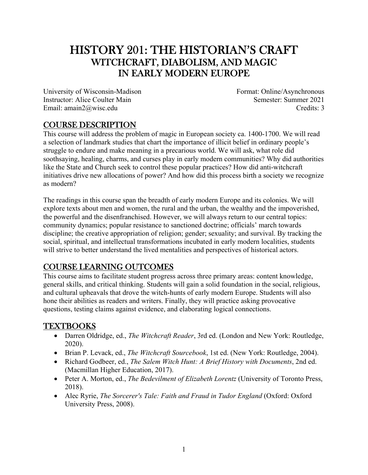# HISTORY 201: THE HISTORIAN'S CRAFT WITCHCRAFT, DIABOLISM, AND MAGIC IN EARLY MODERN EUROPE

University of Wisconsin-Madison Instructor: Alice Coulter Main Email: amain2@wisc.edu

Format: Online/Asynchronous Semester: Summer 2021 Credits: 3

## COURSE DESCRIPTION

This course will address the problem of magic in European society ca. 1400-1700. We will read a selection of landmark studies that chart the importance of illicit belief in ordinary people's struggle to endure and make meaning in a precarious world. We will ask, what role did soothsaying, healing, charms, and curses play in early modern communities? Why did authorities like the State and Church seek to control these popular practices? How did anti-witchcraft initiatives drive new allocations of power? And how did this process birth a society we recognize as modern?

The readings in this course span the breadth of early modern Europe and its colonies. We will explore texts about men and women, the rural and the urban, the wealthy and the impoverished, the powerful and the disenfranchised. However, we will always return to our central topics: community dynamics; popular resistance to sanctioned doctrine; officials' march towards discipline; the creative appropriation of religion; gender; sexuality; and survival. By tracking the social, spiritual, and intellectual transformations incubated in early modern localities, students will strive to better understand the lived mentalities and perspectives of historical actors.

# COURSE LEARNING OUTCOMES

This course aims to facilitate student progress across three primary areas: content knowledge, general skills, and critical thinking. Students will gain a solid foundation in the social, religious, and cultural upheavals that drove the witch-hunts of early modern Europe. Students will also hone their abilities as readers and writers. Finally, they will practice asking provocative questions, testing claims against evidence, and elaborating logical connections.

### TEXTBOOKS

- Darren Oldridge, ed., *The Witchcraft Reader*, 3rd ed. (London and New York: Routledge, 2020).
- Brian P. Levack, ed., *The Witchcraft Sourcebook*, 1st ed. (New York: Routledge, 2004).
- Richard Godbeer, ed., *The Salem Witch Hunt: A Brief History with Documents*, 2nd ed. (Macmillan Higher Education, 2017).
- Peter A. Morton, ed., *The Bedevilment of Elizabeth Lorentz* (University of Toronto Press, 2018).
- Alec Ryrie, *The Sorcerer's Tale: Faith and Fraud in Tudor England* (Oxford: Oxford University Press, 2008).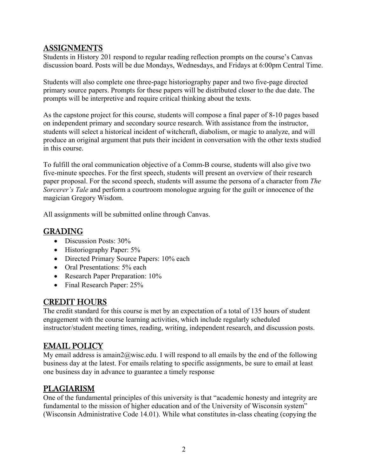### ASSIGNMENTS

Students in History 201 respond to regular reading reflection prompts on the course's Canvas discussion board. Posts will be due Mondays, Wednesdays, and Fridays at 6:00pm Central Time.

Students will also complete one three-page historiography paper and two five-page directed primary source papers. Prompts for these papers will be distributed closer to the due date. The prompts will be interpretive and require critical thinking about the texts.

As the capstone project for this course, students will compose a final paper of 8-10 pages based on independent primary and secondary source research. With assistance from the instructor, students will select a historical incident of witchcraft, diabolism, or magic to analyze, and will produce an original argument that puts their incident in conversation with the other texts studied in this course.

To fulfill the oral communication objective of a Comm-B course, students will also give two five-minute speeches. For the first speech, students will present an overview of their research paper proposal. For the second speech, students will assume the persona of a character from *The Sorcerer's Tale* and perform a courtroom monologue arguing for the guilt or innocence of the magician Gregory Wisdom.

All assignments will be submitted online through Canvas.

# GRADING

- Discussion Posts: 30%
- Historiography Paper: 5%
- Directed Primary Source Papers: 10% each
- Oral Presentations: 5% each
- Research Paper Preparation: 10%
- Final Research Paper: 25%

### CREDIT HOURS

The credit standard for this course is met by an expectation of a total of 135 hours of student engagement with the course learning activities, which include regularly scheduled instructor/student meeting times, reading, writing, independent research, and discussion posts.

### EMAIL POLICY

My email address is amain2@wisc.edu. I will respond to all emails by the end of the following business day at the latest. For emails relating to specific assignments, be sure to email at least one business day in advance to guarantee a timely response

# PLAGIARISM

One of the fundamental principles of this university is that "academic honesty and integrity are fundamental to the mission of higher education and of the University of Wisconsin system" (Wisconsin Administrative Code 14.01). While what constitutes in-class cheating (copying the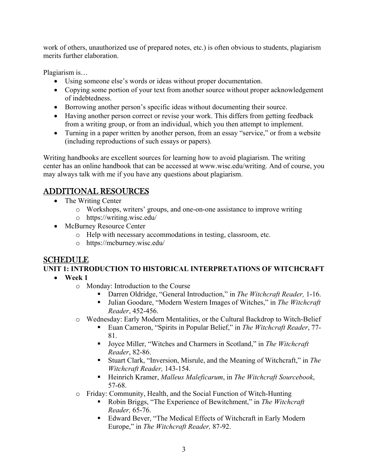work of others, unauthorized use of prepared notes, etc.) is often obvious to students, plagiarism merits further elaboration.

Plagiarism is…

- Using someone else's words or ideas without proper documentation.
- Copying some portion of your text from another source without proper acknowledgement of indebtedness.
- Borrowing another person's specific ideas without documenting their source.
- Having another person correct or revise your work. This differs from getting feedback from a writing group, or from an individual, which you then attempt to implement.
- Turning in a paper written by another person, from an essay "service," or from a website (including reproductions of such essays or papers).

Writing handbooks are excellent sources for learning how to avoid plagiarism. The writing center has an online handbook that can be accessed at www.wisc.edu/writing. And of course, you may always talk with me if you have any questions about plagiarism.

# ADDITIONAL RESOURCES

- The Writing Center
	- o Workshops, writers' groups, and one-on-one assistance to improve writing
	- o https://writing.wisc.edu/
- McBurney Resource Center
	- o Help with necessary accommodations in testing, classroom, etc.
	- o https://mcburney.wisc.edu/

### **SCHEDULE**

**UNIT 1: INTRODUCTION TO HISTORICAL INTERPRETATIONS OF WITCHCRAFT Week 1** 

- - o Monday: Introduction to the Course
		- Darren Oldridge, "General Introduction," in *The Witchcraft Reader,* 1-16.
		- Julian Goodare, "Modern Western Images of Witches," in *The Witchcraft Reader*, 452-456.
	- o Wednesday: Early Modern Mentalities, or the Cultural Backdrop to Witch-Belief
		- Euan Cameron, "Spirits in Popular Belief," in *The Witchcraft Reader*, 77- 81.
		- Joyce Miller, "Witches and Charmers in Scotland," in *The Witchcraft Reader*, 82-86.
		- Stuart Clark, "Inversion, Misrule, and the Meaning of Witchcraft," in *The Witchcraft Reader,* 143-154.
		- Heinrich Kramer, *Malleus Maleficarum*, in *The Witchcraft Sourcebook*, 57-68.
	- o Friday: Community, Health, and the Social Function of Witch-Hunting
		- Robin Briggs, "The Experience of Bewitchment," in *The Witchcraft Reader,* 65-76.
		- Edward Bever, "The Medical Effects of Witchcraft in Early Modern Europe," in *The Witchcraft Reader,* 87-92.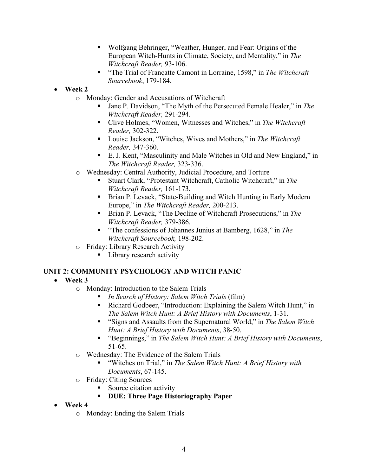- Wolfgang Behringer, "Weather, Hunger, and Fear: Origins of the European Witch-Hunts in Climate, Society, and Mentality," in *The Witchcraft Reader,* 93-106.
- "The Trial of Françatte Camont in Lorraine, 1598," in *The Witchcraft Sourcebook*, 179-184.
- **Week 2** 
	- o Monday: Gender and Accusations of Witchcraft
		- Jane P. Davidson, "The Myth of the Persecuted Female Healer," in *The Witchcraft Reader,* 291-294.
		- Clive Holmes, "Women, Witnesses and Witches," in *The Witchcraft Reader,* 302-322.
		- Louise Jackson, "Witches, Wives and Mothers," in *The Witchcraft Reader,* 347-360.
		- E. J. Kent, "Masculinity and Male Witches in Old and New England," in *The Witchcraft Reader,* 323-336.
	- o Wednesday: Central Authority, Judicial Procedure, and Torture
		- Stuart Clark, "Protestant Witchcraft, Catholic Witchcraft," in *The Witchcraft Reader,* 161-173.
		- Brian P. Levack, "State-Building and Witch Hunting in Early Modern Europe," in *The Witchcraft Reader,* 200-213.
		- Brian P. Levack, "The Decline of Witchcraft Prosecutions," in *The Witchcraft Reader,* 379-386.
		- "The confessions of Johannes Junius at Bamberg, 1628," in *The Witchcraft Sourcebook,* 198-202.
	- o Friday: Library Research Activity
		- **Library research activity**

#### **UNIT 2: COMMUNITY PSYCHOLOGY AND WITCH PANIC**

- **Week 3** 
	- o Monday: Introduction to the Salem Trials
		- *In Search of History: Salem Witch Trials* (film)
		- Richard Godbeer, "Introduction: Explaining the Salem Witch Hunt," in *The Salem Witch Hunt: A Brief History with Documents*, 1-31.
		- "Signs and Assaults from the Supernatural World," in *The Salem Witch Hunt: A Brief History with Documents*, 38-50.
		- "Beginnings," in *The Salem Witch Hunt: A Brief History with Documents*, 51-65.
	- o Wednesday: The Evidence of the Salem Trials
		- "Witches on Trial," in *The Salem Witch Hunt: A Brief History with Documents*, 67-145.
	- o Friday: Citing Sources
		- Source citation activity
		- **DUE: Three Page Historiography Paper**
- **Week 4** 
	- o Monday: Ending the Salem Trials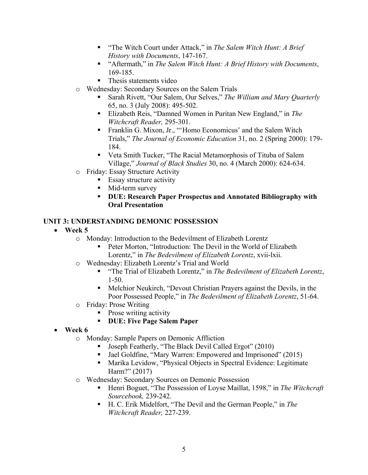- "The Witch Court under Attack," in *The Salem Witch Hunt: A Brief History with Documents*, 147-167.
- "Aftermath," in *The Salem Witch Hunt: A Brief History with Documents*, 169-185.
- Thesis statements video
- o Wednesday: Secondary Sources on the Salem Trials
	- Sarah Rivett, "Our Salem, Our Selves," *The William and Mary Quarterly* 65, no. 3 (July 2008): 495-502.
	- Elizabeth Reis, "Damned Women in Puritan New England," in *The Witchcraft Reader,* 295-301.
	- **Franklin G. Mixon, Jr., "Homo Economicus' and the Salem Witch** Trials," *The Journal of Economic Education* 31, no. 2 (Spring 2000): 179- 184.
	- Veta Smith Tucker, "The Racial Metamorphosis of Tituba of Salem Village," *Journal of Black Studies* 30, no. 4 (March 2000): 624-634.
- o Friday: Essay Structure Activity
	- **Essay structure activity**
	- **Mid-term survey**
	- **DUE: Research Paper Prospectus and Annotated Bibliography with Oral Presentation**

#### **UNIT 3: UNDERSTANDING DEMONIC POSSESSION**

- **Week 5** 
	- o Monday: Introduction to the Bedevilment of Elizabeth Lorentz
		- Peter Morton, "Introduction: The Devil in the World of Elizabeth Lorentz," in *The Bedevilment of Elizabeth Lorentz*, xvii-lxii.
	- o Wednesday: Elizabeth Lorentz's Trial and World
		- "The Trial of Elizabeth Lorentz," in *The Bedevilment of Elizabeth Lorentz*, 1-50.
		- Melchior Neukirch, "Devout Christian Prayers against the Devils, in the Poor Possessed People," in *The Bedevilment of Elizabeth Lorentz*, 51-64.
	- o Friday: Prose Writing
		- Prose writing activity
		- **DUE: Five Page Salem Paper**
- **Week 6**
	- o Monday: Sample Papers on Demonic Affliction
		- **Joseph Featherly, "The Black Devil Called Ergot" (2010)**
		- Jael Goldfine, "Mary Warren: Empowered and Imprisoned" (2015)
		- Marika Levidow, "Physical Objects in Spectral Evidence: Legitimate Harm?" (2017)
	- o Wednesday: Secondary Sources on Demonic Possession
		- Henri Boguet, "The Possession of Loyse Maillat, 1598," in *The Witchcraft Sourcebook,* 239-242.
		- H. C. Erik Midelfort, "The Devil and the German People," in *The Witchcraft Reader,* 227-239.